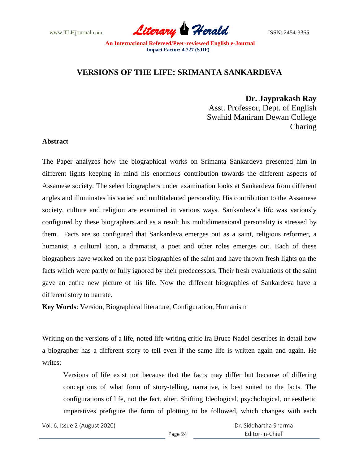www.TLHjournal.com *Literary Herald*ISSN: 2454-3365

# **VERSIONS OF THE LIFE: SRIMANTA SANKARDEVA**

 **Dr. Jayprakash Ray** Asst. Professor, Dept. of English

Swahid Maniram Dewan College Charing

# **Abstract**

The Paper analyzes how the biographical works on Srimanta Sankardeva presented him in different lights keeping in mind his enormous contribution towards the different aspects of Assamese society. The select biographers under examination looks at Sankardeva from different angles and illuminates his varied and multitalented personality. His contribution to the Assamese society, culture and religion are examined in various ways. Sankardeva"s life was variously configured by these biographers and as a result his multidimensional personality is stressed by them. Facts are so configured that Sankardeva emerges out as a saint, religious reformer, a humanist, a cultural icon, a dramatist, a poet and other roles emerges out. Each of these biographers have worked on the past biographies of the saint and have thrown fresh lights on the facts which were partly or fully ignored by their predecessors. Their fresh evaluations of the saint gave an entire new picture of his life. Now the different biographies of Sankardeva have a different story to narrate.

**Key Words**: Version, Biographical literature, Configuration, Humanism

Writing on the versions of a life, noted life writing critic Ira Bruce Nadel describes in detail how a biographer has a different story to tell even if the same life is written again and again. He writes:

Versions of life exist not because that the facts may differ but because of differing conceptions of what form of story-telling, narrative, is best suited to the facts. The configurations of life, not the fact, alter. Shifting Ideological, psychological, or aesthetic imperatives prefigure the form of plotting to be followed, which changes with each

Vol. 6, Issue 2 (August 2020)

 Dr. Siddhartha Sharma Editor-in-Chief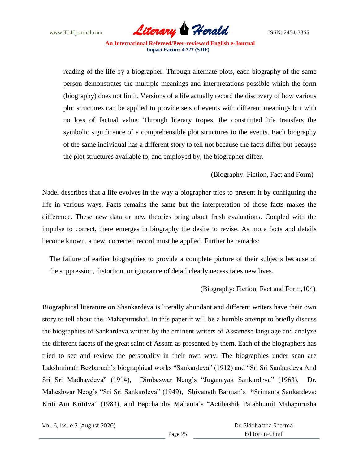

reading of the life by a biographer. Through alternate plots, each biography of the same person demonstrates the multiple meanings and interpretations possible which the form (biography) does not limit. Versions of a life actually record the discovery of how various plot structures can be applied to provide sets of events with different meanings but with no loss of factual value. Through literary tropes, the constituted life transfers the symbolic significance of a comprehensible plot structures to the events. Each biography of the same individual has a different story to tell not because the facts differ but because the plot structures available to, and employed by, the biographer differ.

# (Biography: Fiction, Fact and Form)

Nadel describes that a life evolves in the way a biographer tries to present it by configuring the life in various ways. Facts remains the same but the interpretation of those facts makes the difference. These new data or new theories bring about fresh evaluations. Coupled with the impulse to correct, there emerges in biography the desire to revise. As more facts and details become known, a new, corrected record must be applied. Further he remarks:

The failure of earlier biographies to provide a complete picture of their subjects because of the suppression, distortion, or ignorance of detail clearly necessitates new lives.

#### (Biography: Fiction, Fact and Form,104)

Biographical literature on Shankardeva is literally abundant and different writers have their own story to tell about the "Mahapurusha". In this paper it will be a humble attempt to briefly discuss the biographies of Sankardeva written by the eminent writers of Assamese language and analyze the different facets of the great saint of Assam as presented by them. Each of the biographers has tried to see and review the personality in their own way. The biographies under scan are Lakshminath Bezbaruah's biographical works "Sankardeva" (1912) and "Sri Sri Sankardeva And Sri Sri Madhavdeva" (1914), Dimbeswar Neog"s "Juganayak Sankardeva" (1963), Dr. Maheshwar Neog"s "Sri Sri Sankardeva" (1949), Shivanath Barman"s **"**Srimanta Sankardeva: Kriti Aru Krititva" (1983), and Bapchandra Mahanta"s "Aetihashik Patabhumit Mahapurusha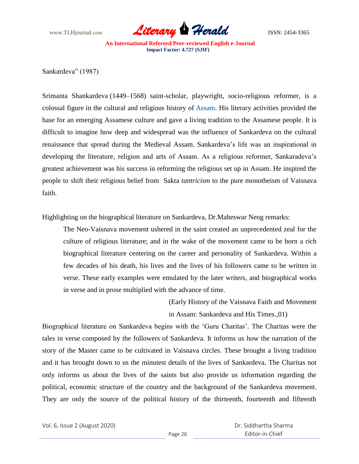

Sankardeva" (1987)

Srimanta Shankardeva (1449–1568) saint-scholar, playwright, socio-religious reformer, is a colossal figure in the cultural and religious history of [Assam.](http://en.wikipedia.org/wiki/Assam) His literary activities provided the base for an emerging Assamese culture and gave a living tradition to the Assamese people. It is difficult to imagine how deep and widespread was the influence of Sankardeva on the cultural renaissance that spread during the Medieval Assam. Sankardeva"s life was an inspirational in developing the literature, religion and arts of Assam. As a religious reformer, Sankaradeva"s greatest achievement was his success in reforming the religious set up in Assam. He inspired the people to shift their religious belief from Sakta *tantricism* to the pure monotheism of Vaisnava faith.

Highlighting on the biographical literature on Sankardeva, Dr.Maheswar Neog remarks:

The Neo-Vaisnava movement ushered in the saint created an unprecedented zeal for the culture of religious literature; and in the wake of the movement came to be born a rich biographical literature centering on the career and personality of Sankardeva. Within a few decades of his death, his lives and the lives of his followers came to be written in verse. These early examples were emulated by the later writers, and biographical works in verse and in prose multiplied with the advance of time.

> (Early History of the Vaisnava Faith and Movement in Assam: Sankardeva and His Times.,01)

Biographical literature on Sankardeva begins with the "Guru Charitas". The Charitas were the tales in verse composed by the followers of Sankardeva. It informs us how the narration of the story of the Master came to be cultivated in Vaisnava circles. These brought a living tradition and it has brought down to us the minutest details of the lives of Sankardeva. The Charitas not only informs us about the lives of the saints but also provide us information regarding the political, economic structure of the country and the background of the Sankardeva movement. They are only the source of the political history of the thirteenth, fourteenth and fifteenth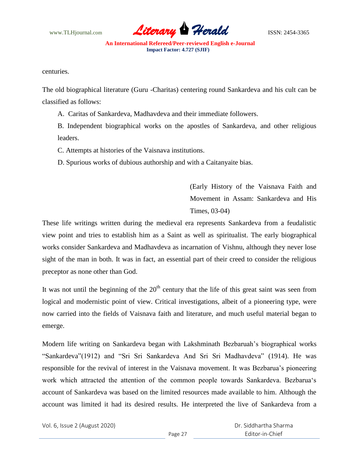

centuries.

The old biographical literature (Guru -Charitas) centering round Sankardeva and his cult can be classified as follows:

A. Caritas of Sankardeva, Madhavdeva and their immediate followers.

B. Independent biographical works on the apostles of Sankardeva, and other religious leaders.

C. Attempts at histories of the Vaisnava institutions.

D. Spurious works of dubious authorship and with a Caitanyaite bias.

(Early History of the Vaisnava Faith and Movement in Assam: Sankardeva and His Times, 03-04)

These life writings written during the medieval era represents Sankardeva from a feudalistic view point and tries to establish him as a Saint as well as spiritualist. The early biographical works consider Sankardeva and Madhavdeva as incarnation of Vishnu, although they never lose sight of the man in both. It was in fact, an essential part of their creed to consider the religious preceptor as none other than God.

It was not until the beginning of the  $20<sup>th</sup>$  century that the life of this great saint was seen from logical and modernistic point of view. Critical investigations, albeit of a pioneering type, were now carried into the fields of Vaisnava faith and literature, and much useful material began to emerge.

Modern life writing on Sankardeva began with Lakshminath Bezbaruah"s biographical works "Sankardeva"(1912) and "Sri Sri Sankardeva And Sri Sri Madhavdeva" (1914). He was responsible for the revival of interest in the Vaisnava movement. It was Bezbarua's pioneering work which attracted the attention of the common people towards Sankardeva. Bezbarua"s account of Sankardeva was based on the limited resources made available to him. Although the account was limited it had its desired results. He interpreted the live of Sankardeva from a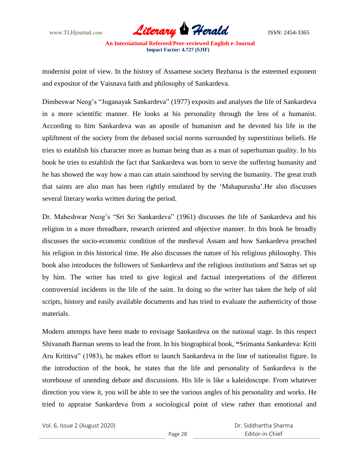

modernist point of view. In the history of Assamese society Bezbarua is the esteemed exponent and expositor of the Vaisnava faith and philosophy of Sankardeva.

Dimbeswar Neog's "Juganayak Sankardeva" (1977) exposits and analyses the life of Sankardeva in a more scientific manner. He looks at his personality through the lens of a humanist. According to him Sankardeva was an apostle of humanism and he devoted his life in the upliftment of the society from the debased social norms surrounded by superstitious beliefs. He tries to establish his character more as human being than as a man of superhuman quality. In his book he tries to establish the fact that Sankardeva was born to serve the suffering humanity and he has showed the way how a man can attain sainthood by serving the humanity. The great truth that saints are also man has been rightly emulated by the "Mahapurusha".He also discusses several literary works written during the period.

Dr. Maheshwar Neog's "Sri Sri Sankardeva" (1961) discusses the life of Sankardeva and his religion in a more threadbare, research oriented and objective manner. In this book he broadly discusses the socio-economic condition of the medieval Assam and how Sankardeva preached his religion in this historical time. He also discusses the nature of his religious philosophy. This book also introduces the followers of Sankardeva and the religious institutions and Satras set up by him. The writer has tried to give logical and factual interpretations of the different controversial incidents in the life of the saint. In doing so the writer has taken the help of old scripts, history and easily available documents and has tried to evaluate the authenticity of those materials.

Modern attempts have been made to envisage Sankardeva on the national stage. In this respect Shivanath Barman seems to lead the front. In his biographical book, **"**Srimanta Sankardeva: Kriti Aru Krititva" (1983), he makes effort to launch Sankardeva in the line of nationalist figure. In the introduction of the book, he states that the life and personality of Sankardeva is the storehouse of unending debate and discussions. His life is like a kaleidoscope. From whatever direction you view it, you will be able to see the various angles of his personality and works. He tried to appraise Sankardeva from a sociological point of view rather than emotional and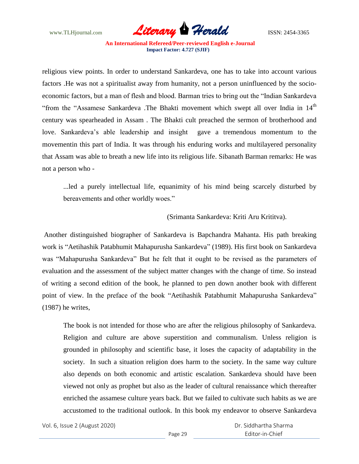

religious view points. In order to understand Sankardeva, one has to take into account various factors .He was not a spiritualist away from humanity, not a person uninfluenced by the socioeconomic factors, but a man of flesh and blood. Barman tries to bring out the "Indian Sankardeva "from the "Assamese Sankardeva .The Bhakti movement which swept all over India in 14<sup>th</sup> century was spearheaded in Assam . The Bhakti cult preached the sermon of brotherhood and love. Sankardeva's able leadership and insight gave a tremendous momentum to the movementin this part of India. It was through his enduring works and multilayered personality that Assam was able to breath a new life into its religious life. Sibanath Barman remarks: He was not a person who -

...led a purely intellectual life, equanimity of his mind being scarcely disturbed by bereavements and other worldly woes."

# (Srimanta Sankardeva: Kriti Aru Krititva).

Another distinguished biographer of Sankardeva is Bapchandra Mahanta. His path breaking work is "Aetihashik Patabhumit Mahapurusha Sankardeva" (1989). His first book on Sankardeva was "Mahapurusha Sankardeva" But he felt that it ought to be revised as the parameters of evaluation and the assessment of the subject matter changes with the change of time. So instead of writing a second edition of the book, he planned to pen down another book with different point of view. In the preface of the book "Aetihashik Patabhumit Mahapurusha Sankardeva" (1987) he writes,

The book is not intended for those who are after the religious philosophy of Sankardeva. Religion and culture are above superstition and communalism. Unless religion is grounded in philosophy and scientific base, it loses the capacity of adaptability in the society. In such a situation religion does harm to the society. In the same way culture also depends on both economic and artistic escalation. Sankardeva should have been viewed not only as prophet but also as the leader of cultural renaissance which thereafter enriched the assamese culture years back. But we failed to cultivate such habits as we are accustomed to the traditional outlook. In this book my endeavor to observe Sankardeva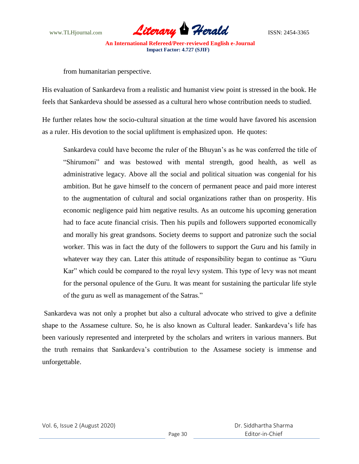

from humanitarian perspective.

His evaluation of Sankardeva from a realistic and humanist view point is stressed in the book. He feels that Sankardeva should be assessed as a cultural hero whose contribution needs to studied.

He further relates how the socio-cultural situation at the time would have favored his ascension as a ruler. His devotion to the social upliftment is emphasized upon. He quotes:

Sankardeva could have become the ruler of the Bhuyan"s as he was conferred the title of "Shirumoni" and was bestowed with mental strength, good health, as well as administrative legacy. Above all the social and political situation was congenial for his ambition. But he gave himself to the concern of permanent peace and paid more interest to the augmentation of cultural and social organizations rather than on prosperity. His economic negligence paid him negative results. As an outcome his upcoming generation had to face acute financial crisis. Then his pupils and followers supported economically and morally his great grandsons. Society deems to support and patronize such the social worker. This was in fact the duty of the followers to support the Guru and his family in whatever way they can. Later this attitude of responsibility began to continue as "Guru Kar" which could be compared to the royal levy system. This type of levy was not meant for the personal opulence of the Guru. It was meant for sustaining the particular life style of the guru as well as management of the Satras."

Sankardeva was not only a prophet but also a cultural advocate who strived to give a definite shape to the Assamese culture. So, he is also known as Cultural leader. Sankardeva"s life has been variously represented and interpreted by the scholars and writers in various manners. But the truth remains that Sankardeva"s contribution to the Assamese society is immense and unforgettable.